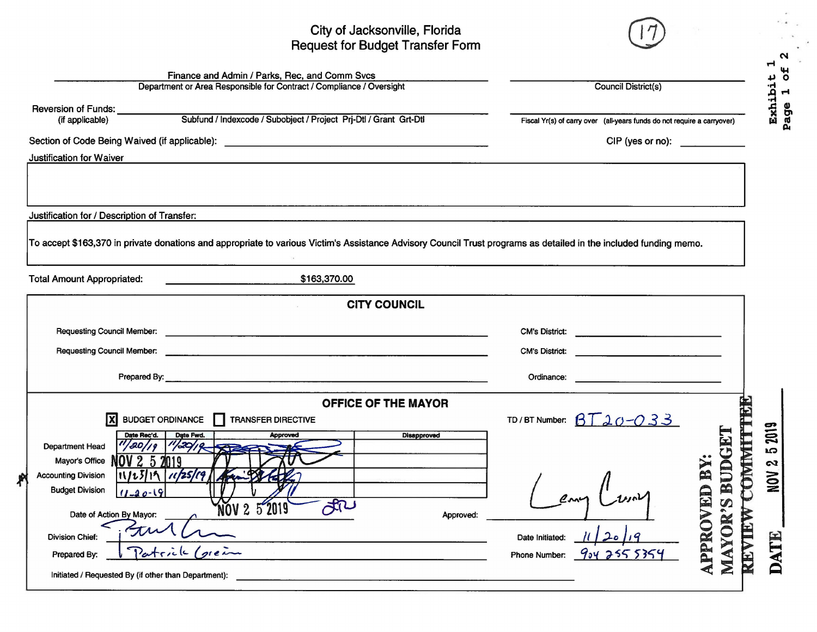## City of Jacksonville, Florida Request for Budget Transfer Form



N

|                                                                                                                                                                                                                         | Finance and Admin / Parks, Rec, and Comm Svcs<br>Department or Area Responsible for Contract / Compliance / Oversight                                                                                                                                                                                 | Council District(s)                                                               |                                                                                                                                                              |  |  |  |  |
|-------------------------------------------------------------------------------------------------------------------------------------------------------------------------------------------------------------------------|-------------------------------------------------------------------------------------------------------------------------------------------------------------------------------------------------------------------------------------------------------------------------------------------------------|-----------------------------------------------------------------------------------|--------------------------------------------------------------------------------------------------------------------------------------------------------------|--|--|--|--|
| Reversion of Funds: ___________<br>(if applicable)                                                                                                                                                                      | Subfund / Indexcode / Subobject / Project Prj-Dtl / Grant Grt-Dtl                                                                                                                                                                                                                                     | Exhibi<br>Fiscal Yr(s) of carry over (all-years funds do not require a carryover) |                                                                                                                                                              |  |  |  |  |
| <b>Justification for Waiver</b>                                                                                                                                                                                         | Section of Code Being Waived (if applicable): ___________________________________                                                                                                                                                                                                                     | CIP (yes or no):                                                                  |                                                                                                                                                              |  |  |  |  |
| Justification for / Description of Transfer:                                                                                                                                                                            | To accept \$163,370 in private donations and appropriate to various Victim's Assistance Advisory Council Trust programs as detailed in the included funding memo.                                                                                                                                     |                                                                                   |                                                                                                                                                              |  |  |  |  |
| <b>Total Amount Appropriated:</b>                                                                                                                                                                                       | \$163,370.00                                                                                                                                                                                                                                                                                          |                                                                                   |                                                                                                                                                              |  |  |  |  |
|                                                                                                                                                                                                                         | <b>CITY COUNCIL</b>                                                                                                                                                                                                                                                                                   |                                                                                   |                                                                                                                                                              |  |  |  |  |
|                                                                                                                                                                                                                         | Requesting Council Member: <u>example and the set of the set of the set of the set of the set of the set of the set of the set of the set of the set of the set of the set of the set of the set of the set of the set of the se</u>                                                                  | CM's District:<br><b>CM's District:</b>                                           |                                                                                                                                                              |  |  |  |  |
|                                                                                                                                                                                                                         | Prepared By: <u>All and the contract of the contract of the contract of the contract of the contract of the contract of the contract of the contract of the contract of the contract of the contract of the contract of the cont</u>                                                                  | Ordinance:                                                                        |                                                                                                                                                              |  |  |  |  |
| Date Rec'd.<br>''/20/19<br><b>Department Head</b><br>Mayor's Office NO<br><b>Accounting Division</b><br><b>Budget Division</b><br>$(1 - 20 - 19)$<br>Date of Action By Mayor:<br><b>Division Chief:</b><br>Prepared By: | <b>OFFICE OF THE MAYOR</b><br>$X$ BUDGET ORDINANCE <b>TRANSFER DIRECTIVE</b><br>Date Fwd.<br><b>Disapproved</b><br><b>Approved</b><br>1/20/19<br>$2\,5\,2019$<br>$11123119$ $1125119$<br>JR<br>NOV 2 5 2019<br>Approved:<br>(greim<br>Patrick<br>Initiated / Requested By (if other than Department): | TD/BT Number: $BT$ 20-033<br>Date Initiated:<br>Phone Number:                     | 2019<br>$\bf{E}$<br><b>COMMT</b><br><b>SC</b><br><b>BUDG</b><br><b>APPROVED BY</b><br>$\boldsymbol{\alpha}$<br>NON<br><b>MAYOR'S</b><br><b>REVIEW</b><br>ATE |  |  |  |  |